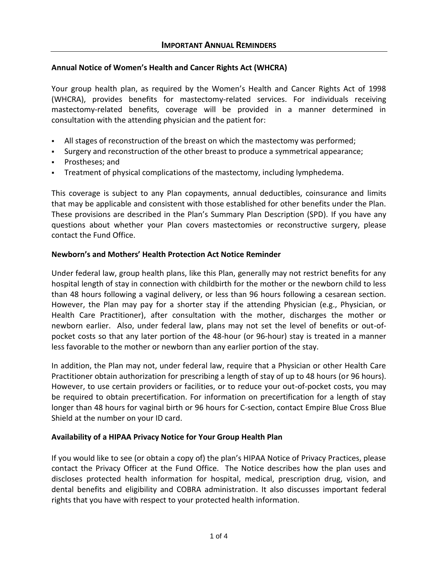## **Annual Notice of Women's Health and Cancer Rights Act (WHCRA)**

Your group health plan, as required by the Women's Health and Cancer Rights Act of 1998 (WHCRA), provides benefits for mastectomy-related services. For individuals receiving mastectomy-related benefits, coverage will be provided in a manner determined in consultation with the attending physician and the patient for:

- All stages of reconstruction of the breast on which the mastectomy was performed;
- Surgery and reconstruction of the other breast to produce a symmetrical appearance;
- Prostheses; and
- **•** Treatment of physical complications of the mastectomy, including lymphedema.

This coverage is subject to any Plan copayments, annual deductibles, coinsurance and limits that may be applicable and consistent with those established for other benefits under the Plan. These provisions are described in the Plan's Summary Plan Description (SPD). If you have any questions about whether your Plan covers mastectomies or reconstructive surgery, please contact the Fund Office.

#### **Newborn's and Mothers' Health Protection Act Notice Reminder**

Under federal law, group health plans, like this Plan, generally may not restrict benefits for any hospital length of stay in connection with childbirth for the mother or the newborn child to less than 48 hours following a vaginal delivery, or less than 96 hours following a cesarean section. However, the Plan may pay for a shorter stay if the attending Physician (e.g., Physician, or Health Care Practitioner), after consultation with the mother, discharges the mother or newborn earlier. Also, under federal law, plans may not set the level of benefits or out-ofpocket costs so that any later portion of the 48-hour (or 96-hour) stay is treated in a manner less favorable to the mother or newborn than any earlier portion of the stay.

In addition, the Plan may not, under federal law, require that a Physician or other Health Care Practitioner obtain authorization for prescribing a length of stay of up to 48 hours (or 96 hours). However, to use certain providers or facilities, or to reduce your out-of-pocket costs, you may be required to obtain precertification. For information on precertification for a length of stay longer than 48 hours for vaginal birth or 96 hours for C-section, contact Empire Blue Cross Blue Shield at the number on your ID card.

#### **Availability of a HIPAA Privacy Notice for Your Group Health Plan**

If you would like to see (or obtain a copy of) the plan's HIPAA Notice of Privacy Practices, please contact the Privacy Officer at the Fund Office. The Notice describes how the plan uses and discloses protected health information for hospital, medical, prescription drug, vision, and dental benefits and eligibility and COBRA administration. It also discusses important federal rights that you have with respect to your protected health information.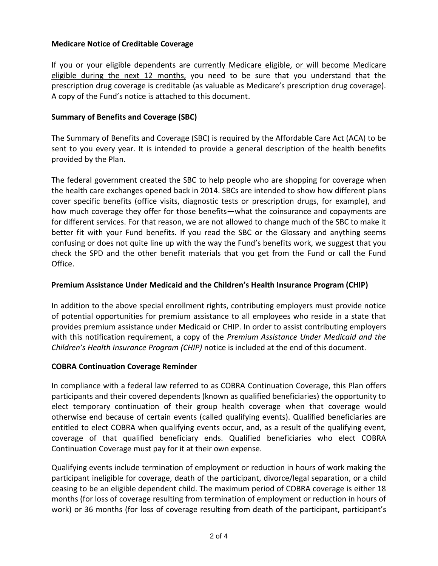## **Medicare Notice of Creditable Coverage**

If you or your eligible dependents are currently Medicare eligible, or will become Medicare eligible during the next 12 months, you need to be sure that you understand that the prescription drug coverage is creditable (as valuable as Medicare's prescription drug coverage). A copy of the Fund's notice is attached to this document.

## **Summary of Benefits and Coverage (SBC)**

The Summary of Benefits and Coverage (SBC) is required by the Affordable Care Act (ACA) to be sent to you every year. It is intended to provide a general description of the health benefits provided by the Plan.

The federal government created the SBC to help people who are shopping for coverage when the health care exchanges opened back in 2014. SBCs are intended to show how different plans cover specific benefits (office visits, diagnostic tests or prescription drugs, for example), and how much coverage they offer for those benefits—what the coinsurance and copayments are for different services. For that reason, we are not allowed to change much of the SBC to make it better fit with your Fund benefits. If you read the SBC or the Glossary and anything seems confusing or does not quite line up with the way the Fund's benefits work, we suggest that you check the SPD and the other benefit materials that you get from the Fund or call the Fund Office.

### **Premium Assistance Under Medicaid and the Children's Health Insurance Program (CHIP)**

In addition to the above special enrollment rights, contributing employers must provide notice of potential opportunities for premium assistance to all employees who reside in a state that provides premium assistance under Medicaid or CHIP. In order to assist contributing employers with this notification requirement, a copy of the *Premium Assistance Under Medicaid and the Children's Health Insurance Program (CHIP)* notice is included at the end of this document.

#### **COBRA Continuation Coverage Reminder**

In compliance with a federal law referred to as COBRA Continuation Coverage, this Plan offers participants and their covered dependents (known as qualified beneficiaries) the opportunity to elect temporary continuation of their group health coverage when that coverage would otherwise end because of certain events (called qualifying events). Qualified beneficiaries are entitled to elect COBRA when qualifying events occur, and, as a result of the qualifying event, coverage of that qualified beneficiary ends. Qualified beneficiaries who elect COBRA Continuation Coverage must pay for it at their own expense.

Qualifying events include termination of employment or reduction in hours of work making the participant ineligible for coverage, death of the participant, divorce/legal separation, or a child ceasing to be an eligible dependent child. The maximum period of COBRA coverage is either 18 months (for loss of coverage resulting from termination of employment or reduction in hours of work) or 36 months (for loss of coverage resulting from death of the participant, participant's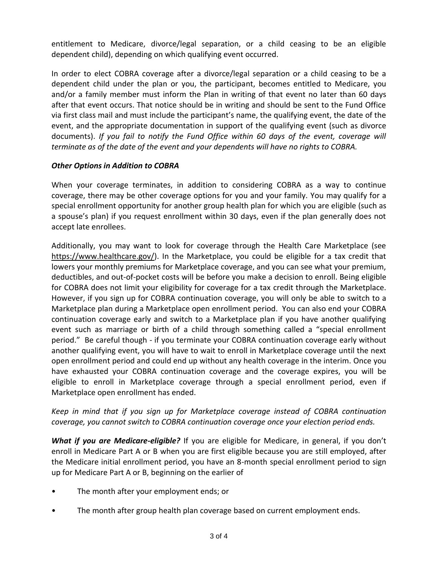entitlement to Medicare, divorce/legal separation, or a child ceasing to be an eligible dependent child), depending on which qualifying event occurred.

In order to elect COBRA coverage after a divorce/legal separation or a child ceasing to be a dependent child under the plan or you, the participant, becomes entitled to Medicare, you and/or a family member must inform the Plan in writing of that event no later than 60 days after that event occurs. That notice should be in writing and should be sent to the Fund Office via first class mail and must include the participant's name, the qualifying event, the date of the event, and the appropriate documentation in support of the qualifying event (such as divorce documents). *If you fail to notify the Fund Office within 60 days of the event, coverage will terminate as of the date of the event and your dependents will have no rights to COBRA.*

## *Other Options in Addition to COBRA*

When your coverage terminates, in addition to considering COBRA as a way to continue coverage, there may be other coverage options for you and your family. You may qualify for a special enrollment opportunity for another group health plan for which you are eligible (such as a spouse's plan) if you request enrollment within 30 days, even if the plan generally does not accept late enrollees.

Additionally, you may want to look for coverage through the Health Care Marketplace (see https://www.healthcare.gov/). In the Marketplace, you could be eligible for a tax credit that lowers your monthly premiums for Marketplace coverage, and you can see what your premium, deductibles, and out-of-pocket costs will be before you make a decision to enroll. Being eligible for COBRA does not limit your eligibility for coverage for a tax credit through the Marketplace. However, if you sign up for COBRA continuation coverage, you will only be able to switch to a Marketplace plan during a Marketplace open enrollment period. You can also end your COBRA continuation coverage early and switch to a Marketplace plan if you have another qualifying event such as marriage or birth of a child through something called a "special enrollment period." Be careful though - if you terminate your COBRA continuation coverage early without another qualifying event, you will have to wait to enroll in Marketplace coverage until the next open enrollment period and could end up without any health coverage in the interim. Once you have exhausted your COBRA continuation coverage and the coverage expires, you will be eligible to enroll in Marketplace coverage through a special enrollment period, even if Marketplace open enrollment has ended.

# *Keep in mind that if you sign up for Marketplace coverage instead of COBRA continuation coverage, you cannot switch to COBRA continuation coverage once your election period ends.*

*What if you are Medicare-eligible?* If you are eligible for Medicare, in general, if you don't enroll in Medicare Part A or B when you are first eligible because you are still employed, after the Medicare initial enrollment period, you have an 8-month special enrollment period to sign up for Medicare Part A or B, beginning on the earlier of

- The month after your employment ends; or
- The month after group health plan coverage based on current employment ends.